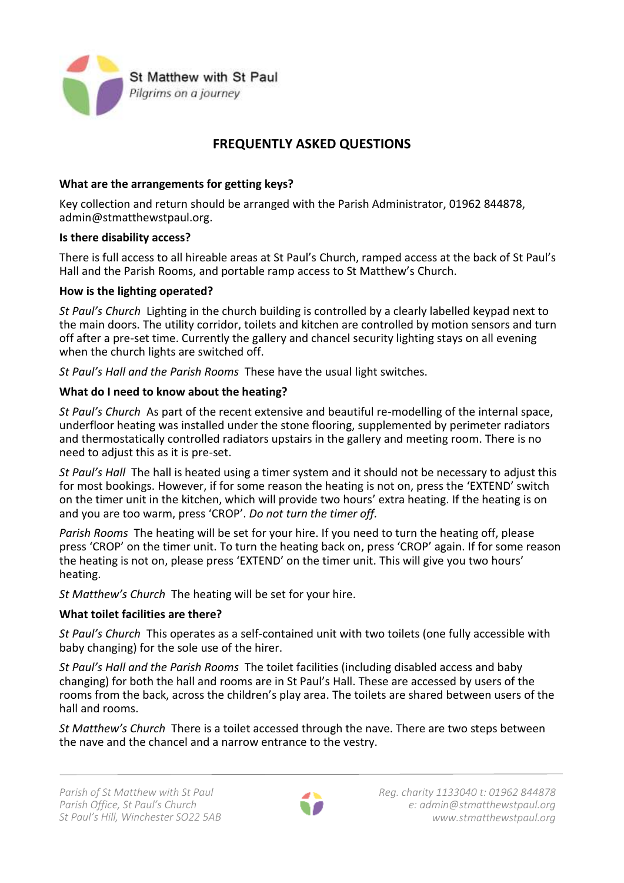

# **FREQUENTLY ASKED QUESTIONS**

## **What are the arrangements for getting keys?**

Key collection and return should be arranged with the Parish Administrator, 01962 844878, admin@stmatthewstpaul.org.

## **Is there disability access?**

There is full access to all hireable areas at St Paul's Church, ramped access at the back of St Paul's Hall and the Parish Rooms, and portable ramp access to St Matthew's Church.

## **How is the lighting operated?**

*St Paul's Church* Lighting in the church building is controlled by a clearly labelled keypad next to the main doors. The utility corridor, toilets and kitchen are controlled by motion sensors and turn off after a pre-set time. Currently the gallery and chancel security lighting stays on all evening when the church lights are switched off.

*St Paul's Hall and the Parish Rooms* These have the usual light switches.

## **What do I need to know about the heating?**

*St Paul's Church* As part of the recent extensive and beautiful re-modelling of the internal space, underfloor heating was installed under the stone flooring, supplemented by perimeter radiators and thermostatically controlled radiators upstairs in the gallery and meeting room. There is no need to adjust this as it is pre-set.

*St Paul's Hall* The hall is heated using a timer system and it should not be necessary to adjust this for most bookings. However, if for some reason the heating is not on, press the 'EXTEND' switch on the timer unit in the kitchen, which will provide two hours' extra heating. If the heating is on and you are too warm, press 'CROP'. *Do not turn the timer off.*

*Parish Rooms* The heating will be set for your hire. If you need to turn the heating off, please press 'CROP' on the timer unit. To turn the heating back on, press 'CROP' again. If for some reason the heating is not on, please press 'EXTEND' on the timer unit. This will give you two hours' heating.

*St Matthew's Church* The heating will be set for your hire.

## **What toilet facilities are there?**

*St Paul's Church* This operates as a self-contained unit with two toilets (one fully accessible with baby changing) for the sole use of the hirer.

*St Paul's Hall and the Parish Rooms* The toilet facilities (including disabled access and baby changing) for both the hall and rooms are in St Paul's Hall. These are accessed by users of the rooms from the back, across the children's play area. The toilets are shared between users of the hall and rooms.

*St Matthew's Church* There is a toilet accessed through the nave. There are two steps between the nave and the chancel and a narrow entrance to the vestry.